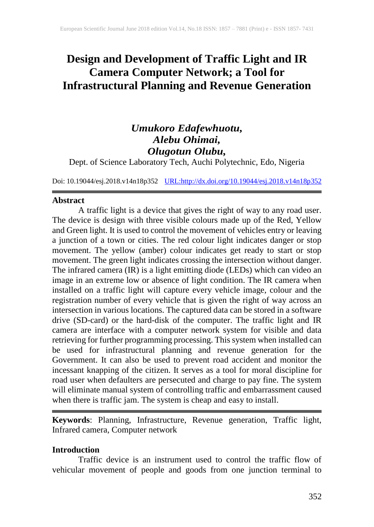# **Design and Development of Traffic Light and IR Camera Computer Network; a Tool for Infrastructural Planning and Revenue Generation**

# *Umukoro Edafewhuotu, Alebu Ohimai, Olugotun Olubu,*

Dept. of Science Laboratory Tech, Auchi Polytechnic, Edo, Nigeria

Doi: 10.19044/esj.2018.v14n18p352 [URL:http://dx.doi.org/10.19044/esj.2018.v14n18p352](http://dx.doi.org/10.19044/esj.2018.v14n18p352)

# **Abstract**

A traffic light is a device that gives the right of way to any road user. The device is design with three visible colours made up of the Red, Yellow and Green light. It is used to control the movement of vehicles entry or leaving a junction of a town or cities. The red colour light indicates danger or stop movement. The yellow (amber) colour indicates get ready to start or stop movement. The green light indicates crossing the intersection without danger. The infrared camera (IR) is a light emitting diode (LEDs) which can video an image in an extreme low or absence of light condition. The IR camera when installed on a traffic light will capture every vehicle image, colour and the registration number of every vehicle that is given the right of way across an intersection in various locations. The captured data can be stored in a software drive (SD-card) or the hard-disk of the computer. The traffic light and IR camera are interface with a computer network system for visible and data retrieving for further programming processing. This system when installed can be used for infrastructural planning and revenue generation for the Government. It can also be used to prevent road accident and monitor the incessant knapping of the citizen. It serves as a tool for moral discipline for road user when defaulters are persecuted and charge to pay fine. The system will eliminate manual system of controlling traffic and embarrassment caused when there is traffic jam. The system is cheap and easy to install.

**Keywords**: Planning, Infrastructure, Revenue generation, Traffic light, Infrared camera, Computer network

# **Introduction**

Traffic device is an instrument used to control the traffic flow of vehicular movement of people and goods from one junction terminal to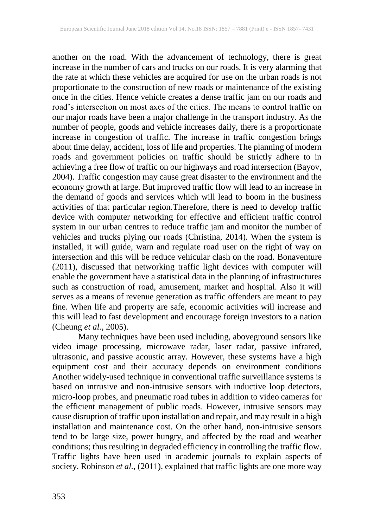another on the road. With the advancement of technology, there is great increase in the number of cars and trucks on our roads. It is very alarming that the rate at which these vehicles are acquired for use on the urban roads is not proportionate to the construction of new roads or maintenance of the existing once in the cities. Hence vehicle creates a dense traffic jam on our roads and road's intersection on most axes of the cities. The means to control traffic on our major roads have been a major challenge in the transport industry. As the number of people, goods and vehicle increases daily, there is a proportionate increase in congestion of traffic. The increase in traffic congestion brings about time delay, accident, loss of life and properties. The planning of modern roads and government policies on traffic should be strictly adhere to in achieving a free flow of traffic on our highways and road intersection (Bayov, 2004). Traffic congestion may cause great disaster to the environment and the economy growth at large. But improved traffic flow will lead to an increase in the demand of goods and services which will lead to boom in the business activities of that particular region.Therefore, there is need to develop traffic device with computer networking for effective and efficient traffic control system in our urban centres to reduce traffic jam and monitor the number of vehicles and trucks plying our roads (Christina, 2014). When the system is installed, it will guide, warn and regulate road user on the right of way on intersection and this will be reduce vehicular clash on the road. Bonaventure (2011), discussed that networking traffic light devices with computer will enable the government have a statistical data in the planning of infrastructures such as construction of road, amusement, market and hospital. Also it will serves as a means of revenue generation as traffic offenders are meant to pay fine. When life and property are safe, economic activities will increase and this will lead to fast development and encourage foreign investors to a nation (Cheung *et al.*, 2005).

Many techniques have been used including, aboveground sensors like video image processing, microwave radar, laser radar, passive infrared, ultrasonic, and passive acoustic array. However, these systems have a high equipment cost and their accuracy depends on environment conditions Another widely-used technique in conventional traffic surveillance systems is based on intrusive and non-intrusive sensors with inductive loop detectors, micro-loop probes, and pneumatic road tubes in addition to video cameras for the efficient management of public roads. However, intrusive sensors may cause disruption of traffic upon installation and repair, and may result in a high installation and maintenance cost. On the other hand, non-intrusive sensors tend to be large size, power hungry, and affected by the road and weather conditions; thus resulting in degraded efficiency in controlling the traffic flow. Traffic lights have been used in academic journals to explain aspects of society. Robinson *et al.*, (2011), explained that traffic lights are one more way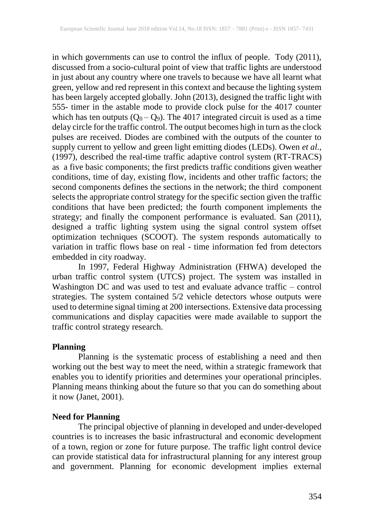in which governments can use to control the influx of people. Tody (2011), discussed from a socio-cultural point of view that traffic lights are understood in just about any country where one travels to because we have all learnt what green, yellow and red represent in this context and because the lighting system has been largely accepted globally. John (2013), designed the traffic light with 555- timer in the astable mode to provide clock pulse for the 4017 counter which has ten outputs  $(Q_0 - Q_9)$ . The 4017 integrated circuit is used as a time delay circle for the traffic control. The output becomes high in turn as the clock pulses are received. Diodes are combined with the outputs of the counter to supply current to yellow and green light emitting diodes (LEDs). Owen *et al.,* (1997), described the real-time traffic adaptive control system (RT-TRACS) as a five basic components; the first predicts traffic conditions given weather conditions, time of day, existing flow, incidents and other traffic factors; the second components defines the sections in the network; the third component selects the appropriate control strategy for the specific section given the traffic conditions that have been predicted; the fourth component implements the strategy; and finally the component performance is evaluated. San (2011), designed a traffic lighting system using the signal control system offset optimization techniques (SCOOT). The system responds automatically to variation in traffic flows base on real - time information fed from detectors embedded in city roadway.

In 1997, Federal Highway Administration (FHWA) developed the urban traffic control system (UTCS) project. The system was installed in Washington DC and was used to test and evaluate advance traffic – control strategies. The system contained 5/2 vehicle detectors whose outputs were used to determine signal timing at 200 intersections. Extensive data processing communications and display capacities were made available to support the traffic control strategy research.

## **Planning**

Planning is the systematic process of establishing a need and then working out the best way to meet the need, within a strategic framework that enables you to identify priorities and determines your operational principles. Planning means thinking about the future so that you can do something about it now (Janet, 2001).

# **Need for Planning**

The principal objective of planning in developed and under-developed countries is to increases the basic infrastructural and economic development of a town, region or zone for future purpose. The traffic light control device can provide statistical data for infrastructural planning for any interest group and government. Planning for economic development implies external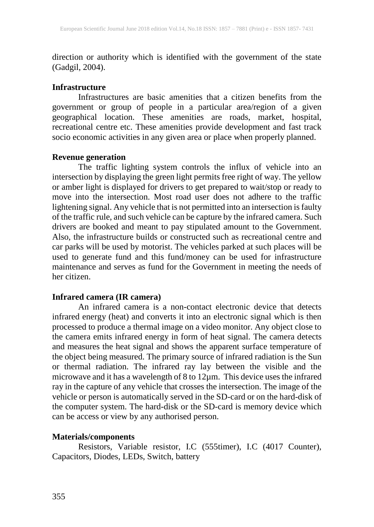direction or authority which is identified with the government of the state (Gadgil, 2004).

# **Infrastructure**

Infrastructures are basic amenities that a citizen benefits from the government or group of people in a particular area/region of a given geographical location. These amenities are roads, market, hospital, recreational centre etc. These amenities provide development and fast track socio economic activities in any given area or place when properly planned.

# **Revenue generation**

The traffic lighting system controls the influx of vehicle into an intersection by displaying the green light permits free right of way. The yellow or amber light is displayed for drivers to get prepared to wait/stop or ready to move into the intersection. Most road user does not adhere to the traffic lightening signal. Any vehicle that is not permitted into an intersection is faulty of the traffic rule, and such vehicle can be capture by the infrared camera. Such drivers are booked and meant to pay stipulated amount to the Government. Also, the infrastructure builds or constructed such as recreational centre and car parks will be used by motorist. The vehicles parked at such places will be used to generate fund and this fund/money can be used for infrastructure maintenance and serves as fund for the Government in meeting the needs of her citizen.

# **Infrared camera (IR camera)**

An infrared camera is a non-contact electronic device that detects infrared energy (heat) and converts it into an electronic signal which is then processed to produce a thermal image on a video monitor. Any object close to the camera emits infrared energy in form of heat signal. The camera detects and measures the heat signal and shows the apparent surface temperature of the object being measured. The primary source of infrared radiation is the Sun or thermal radiation. The infrared ray lay between the visible and the microwave and it has a wavelength of 8 to 12µm. This device uses the infrared ray in the capture of any vehicle that crosses the intersection. The image of the vehicle or person is automatically served in the SD-card or on the hard-disk of the computer system. The hard-disk or the SD-card is memory device which can be access or view by any authorised person.

# **Materials/components**

Resistors, Variable resistor, I.C (555timer), I.C (4017 Counter), Capacitors, Diodes, LEDs, Switch, battery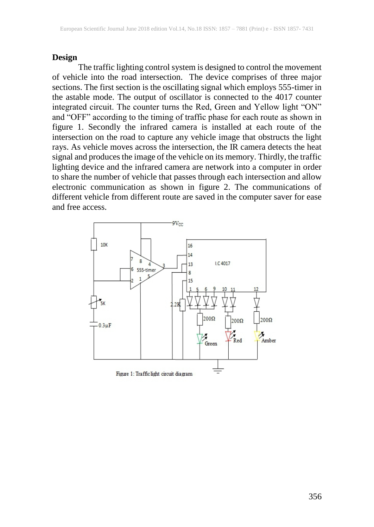#### **Design**

The traffic lighting control system is designed to control the movement of vehicle into the road intersection. The device comprises of three major sections. The first section is the oscillating signal which employs 555-timer in the astable mode. The output of oscillator is connected to the 4017 counter integrated circuit. The counter turns the Red, Green and Yellow light "ON" and "OFF" according to the timing of traffic phase for each route as shown in figure 1. Secondly the infrared camera is installed at each route of the intersection on the road to capture any vehicle image that obstructs the light rays. As vehicle moves across the intersection, the IR camera detects the heat signal and produces the image of the vehicle on its memory. Thirdly, the traffic lighting device and the infrared camera are network into a computer in order to share the number of vehicle that passes through each intersection and allow electronic communication as shown in figure 2. The communications of different vehicle from different route are saved in the computer saver for ease and free access.

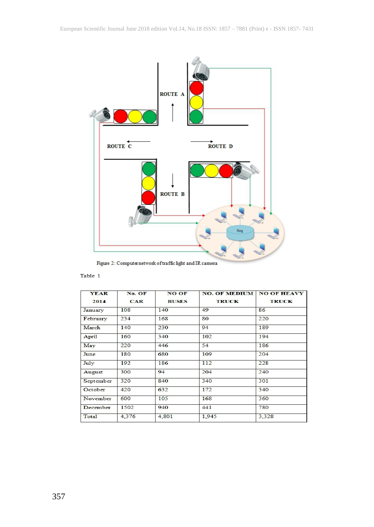

Figure 2: Computer network of traffic light and IR camera

#### Table 1

| <b>YEAR</b> | No. OF | <b>NO OF</b> | <b>NO. OF MEDIUM   NO OF HEAVY</b> |              |
|-------------|--------|--------------|------------------------------------|--------------|
| 2014        | CAR    | <b>BUSES</b> | <b>TRUCK</b>                       | <b>TRUCK</b> |
| January     | 108    | 140          | 49                                 | 86           |
| February    | 234    | 168          | 80                                 | 220          |
| March       | 140    | 230          | 94                                 | 189          |
| April       | 160    | 340          | 102                                | 194          |
| May         | 220    | 446          | 54                                 | 186          |
| June        | 180    | 680          | 109                                | 204          |
| July        | 192    | 186          | 112                                | 228          |
| August      | 300    | 94           | 204                                | 240          |
| September   | 320    | 840          | 340                                | 301          |
| October     | 420    | 632          | 172                                | 340          |
| November    | 600    | 105          | 168                                | 360          |
| December    | 1502   | 940          | 441                                | 780          |
| Total       | 4,376  | 4,801        | 1.945                              | 3.328        |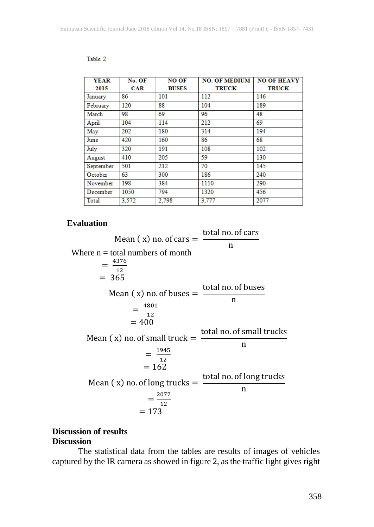| <b>YEAR</b> | No. OF     | <b>NO OF</b> | <b>NO. OF MEDIUM</b> | <b>NO OF HEAVY</b> |
|-------------|------------|--------------|----------------------|--------------------|
| 2015        | <b>CAR</b> | <b>BUSES</b> | <b>TRUCK</b>         | <b>TRUCK</b>       |
| January     | 86         | 101          | 112                  | 146                |
| February    | 120        | 88           | 104                  | 189                |
| March       | 98         | 69           | 96                   | 48                 |
| April       | 104        | 114          | 212                  | 69                 |
| May         | 202        | 180          | 314                  | 194                |
| June        | 420        | 160          | 86                   | 68                 |
| July        | 320        | 191          | 108                  | 102                |
| August      | 410        | 205          | 59                   | 130                |
| September   | 501        | 212          | 70                   | 145                |
| October     | 63         | 300          | 186                  | 240                |
| November    | 198        | 384          | 1110                 | 290                |
| December    | 1050       | 794          | 1320                 | 456                |
| Total       | 3.572      | 2.798        | 3.777                | 2077               |

#### Table 2

#### **Evaluation**

Mean  $(x)$  no. of cars  $=$ total no. of cars n Where  $n =$  total numbers of month  $=\frac{4376}{12}$ 12  $= 365$ Mean  $(x)$  no. of buses  $=$ total no. of buses n  $=\frac{4801}{13}$ 12  $= 400$ Mean  $(x)$  no. of small truck  $=$ total no. of small trucks n = 1945 12  $= 162$ Mean  $(x)$  no. of long trucks  $=$ total no. of long trucks n ===================== 2077 12  $= 173$ 

# **Discussion of results Discussion**

The statistical data from the tables are results of images of vehicles captured by the IR camera as showed in figure 2, as the traffic light gives right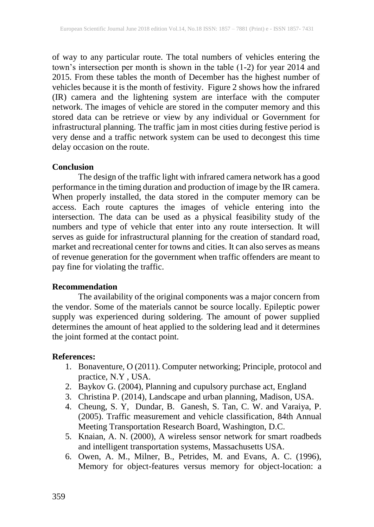of way to any particular route. The total numbers of vehicles entering the town's intersection per month is shown in the table (1-2) for year 2014 and 2015. From these tables the month of December has the highest number of vehicles because it is the month of festivity. Figure 2 shows how the infrared (IR) camera and the lightening system are interface with the computer network. The images of vehicle are stored in the computer memory and this stored data can be retrieve or view by any individual or Government for infrastructural planning. The traffic jam in most cities during festive period is very dense and a traffic network system can be used to decongest this time delay occasion on the route.

#### **Conclusion**

The design of the traffic light with infrared camera network has a good performance in the timing duration and production of image by the IR camera. When properly installed, the data stored in the computer memory can be access. Each route captures the images of vehicle entering into the intersection. The data can be used as a physical feasibility study of the numbers and type of vehicle that enter into any route intersection. It will serves as guide for infrastructural planning for the creation of standard road, market and recreational center for towns and cities. It can also serves as means of revenue generation for the government when traffic offenders are meant to pay fine for violating the traffic.

## **Recommendation**

The availability of the original components was a major concern from the vendor. Some of the materials cannot be source locally. Epileptic power supply was experienced during soldering. The amount of power supplied determines the amount of heat applied to the soldering lead and it determines the joint formed at the contact point.

## **References:**

- 1. Bonaventure, O (2011). Computer networking; Principle, protocol and practice, N.Y , USA.
- 2. Baykov G. (2004), Planning and cupulsory purchase act, England
- 3. Christina P. (2014), Landscape and urban planning, Madison, USA.
- 4. Cheung, S. Y, Dundar, B. Ganesh, S. Tan, C. W. and Varaiya, P. (2005). Traffic measurement and vehicle classification, 84th Annual Meeting Transportation Research Board, Washington, D.C.
- 5. Knaian, A. N. (2000), A wireless sensor network for smart roadbeds and intelligent transportation systems, Massachusetts USA.
- 6. Owen, A. M., Milner, B., Petrides, M. and Evans, A. C. (1996), Memory for object-features versus memory for object-location: a